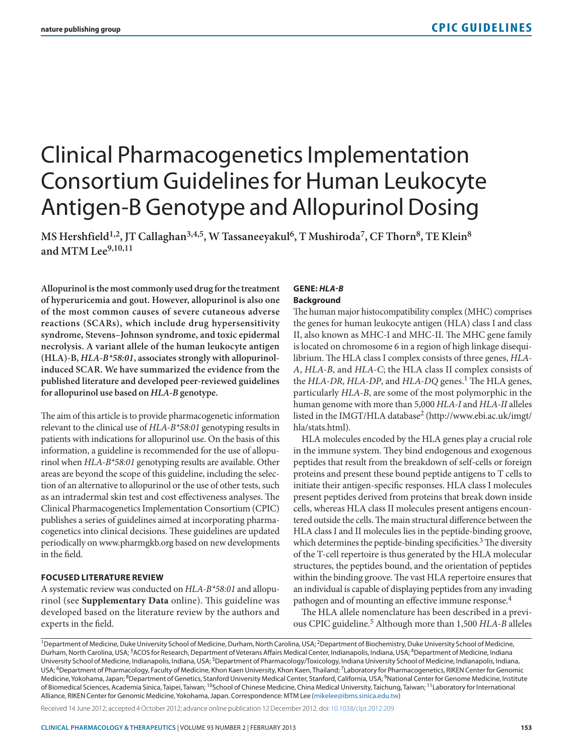# Clinical Pharmacogenetics Implementation Consortium Guidelines for Human Leukocyte Antigen-B Genotype and Allopurinol Dosing

MS Hershfield<sup>1,2</sup>, JT Callaghan<sup>3,4,5</sup>, W Tassaneeyakul<sup>6</sup>, T Mushiroda<sup>7</sup>, CF Thorn<sup>8</sup>, TE Klein<sup>8</sup> **and MTM Lee9,10,11**

**Allopurinol is the most commonly used drug for the treatment of hyperuricemia and gout. However, allopurinol is also one of the most common causes of severe cutaneous adverse reactions (SCARs), which include drug hypersensitivity syndrome, Stevens–Johnson syndrome, and toxic epidermal necrolysis. A variant allele of the human leukocyte antigen (HLA)-B,** *HLA-B\*58:01***, associates strongly with allopurinolinduced SCAR. We have summarized the evidence from the published literature and developed peer-reviewed guidelines for allopurinol use based on** *HLA-B* **genotype.**

The aim of this article is to provide pharmacogenetic information relevant to the clinical use of *HLA-B\*58:01* genotyping results in patients with indications for allopurinol use. On the basis of this information, a guideline is recommended for the use of allopurinol when *HLA-B\*58:01* genotyping results are available. Other areas are beyond the scope of this guideline, including the selection of an alternative to allopurinol or the use of other tests, such as an intradermal skin test and cost effectiveness analyses. The Clinical Pharmacogenetics Implementation Consortium (CPIC) publishes a series of guidelines aimed at incorporating pharmacogenetics into clinical decisions. These guidelines are updated periodically on www.pharmgkb.org based on new developments in the field.

## **FOCUSED LITERATURE REVIEW**

A systematic review was conducted on *HLA-B\*58:01* and allopurinol (see **Supplementary Data** online). This guideline was developed based on the literature review by the authors and experts in the field.

## **GENE:** *HLA-B* **Background**

The human major histocompatibility complex (MHC) comprises the genes for human leukocyte antigen (HLA) class I and class II, also known as MHC-I and MHC-II. The MHC gene family is located on chromosome 6 in a region of high linkage disequilibrium. The HLA class I complex consists of three genes, *HLA-A*, *HLA-B*, and *HLA-C*; the HLA class II complex consists of the *HLA-DR*, *HLA-DP*, and *HLA-DQ* genes.<sup>1</sup> The HLA genes, particularly *HLA-B*, are some of the most polymorphic in the human genome with more than 5,000 *HLA-I* and *HLA-II* alleles listed in the IMGT/HLA database<sup>2</sup> (http://www.ebi.ac.uk/imgt/ hla/stats.html).

HLA molecules encoded by the HLA genes play a crucial role in the immune system. They bind endogenous and exogenous peptides that result from the breakdown of self-cells or foreign proteins and present these bound peptide antigens to T cells to initiate their antigen-specific responses. HLA class I molecules present peptides derived from proteins that break down inside cells, whereas HLA class II molecules present antigens encountered outside the cells. The main structural difference between the HLA class I and II molecules lies in the peptide-binding groove, which determines the peptide-binding specificities.<sup>3</sup> The diversity of the T-cell repertoire is thus generated by the HLA molecular structures, the peptides bound, and the orientation of peptides within the binding groove. The vast HLA repertoire ensures that an individual is capable of displaying peptides from any invading pathogen and of mounting an effective immune response.<sup>4</sup>

The HLA allele nomenclature has been described in a previous CPIC guideline.5 Although more than 1,500 *HLA-B* alleles

<sup>1</sup>Department of Medicine, Duke University School of Medicine, Durham, North Carolina, USA; <sup>2</sup>Department of Biochemistry, Duke University School of Medicine, Durham, North Carolina, USA;<sup>3</sup>ACOS for Research, Department of Veterans Affairs Medical Center, Indianapolis, Indiana, USA;<sup>4</sup>Department of Medicine, Indiana University School of Medicine, Indianapolis, Indiana, USA; <sup>5</sup>Department of Pharmacology/Toxicology, Indiana University School of Medicine, Indianapolis, Indiana, USA; <sup>6</sup>Department of Pharmacology, Faculty of Medicine, Khon Kaen University, Khon Kaen, Thailand; <sup>7</sup>Laboratory for Pharmacogenetics, RIKEN Center for Genomic Medicine, Yokohama, Japan; <sup>8</sup>Department of Genetics, Stanford University Medical Center, Stanford, California, USA; <sup>9</sup>National Center for Genome Medicine, Institute of Biomedical Sciences, Academia Sinica, Taipei, Taiwan; <sup>10</sup>School of Chinese Medicine, China Medical University, Taichung, Taiwan; <sup>11</sup>Laboratory for International Alliance, RIKEN Center for Genomic Medicine, Yokohama, Japan. Correspondence: MTM Lee ([mikelee@ibms.sinica.edu.tw\)](mailto:mikelee@ibms.sinica.edu.tw)

Received 14 June 2012; accepted 4 October 2012; advance online publication 12 December 2012. doi: [10.1038/clpt.2012.209](http://www.nature.com/doifinder/10.1038/clpt.2012.209)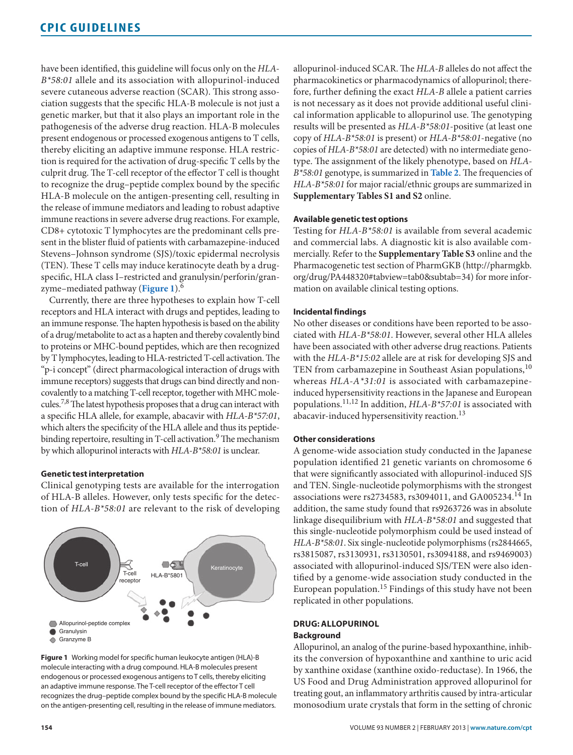have been identified, this guideline will focus only on the *HLA-B\*58:01* allele and its association with allopurinol-induced severe cutaneous adverse reaction (SCAR). This strong association suggests that the specific HLA-B molecule is not just a genetic marker, but that it also plays an important role in the pathogenesis of the adverse drug reaction. HLA-B molecules present endogenous or processed exogenous antigens to T cells, thereby eliciting an adaptive immune response. HLA restriction is required for the activation of drug-specific T cells by the culprit drug. The T-cell receptor of the effector T cell is thought to recognize the drug–peptide complex bound by the specific HLA-B molecule on the antigen-presenting cell, resulting in the release of immune mediators and leading to robust adaptive immune reactions in severe adverse drug reactions. For example, CD8+ cytotoxic T lymphocytes are the predominant cells present in the blister fluid of patients with carbamazepine-induced Stevens–Johnson syndrome (SJS)/toxic epidermal necrolysis (TEN). These T cells may induce keratinocyte death by a drugspecific, HLA class I–restricted and granulysin/perforin/granzyme–mediated pathway (**Figure 1**).6

Currently, there are three hypotheses to explain how T-cell receptors and HLA interact with drugs and peptides, leading to an immune response. The hapten hypothesis is based on the ability of a drug/metabolite to act as a hapten and thereby covalently bind to proteins or MHC-bound peptides, which are then recognized by T lymphocytes, leading to HLA-restricted T-cell activation. The "p-i concept" (direct pharmacological interaction of drugs with immune receptors) suggests that drugs can bind directly and noncovalently to a matching T-cell receptor, together with MHC molecules.7,8 The latest hypothesis proposes that a drug can interact with a specific HLA allele, for example, abacavir with *HLA-B\*57:01*, which alters the specificity of the HLA allele and thus its peptidebinding repertoire, resulting in T-cell activation.<sup>9</sup> The mechanism by which allopurinol interacts with *HLA-B\*58:01* is unclear.

## **Genetic test interpretation**

Clinical genotyping tests are available for the interrogation of HLA-B alleles. However, only tests specific for the detection of *HLA-B\*58:01* are relevant to the risk of developing



**Figure 1** Working model for specific human leukocyte antigen (HLA)-B molecule interacting with a drug compound. HLA-B molecules present endogenous or processed exogenous antigens to T cells, thereby eliciting an adaptive immune response. The T-cell receptor of the effector T cell recognizes the drug–peptide complex bound by the specific HLA-B molecule on the antigen-presenting cell, resulting in the release of immune mediators.

allopurinol-induced SCAR. The *HLA-B* alleles do not affect the pharmacokinetics or pharmacodynamics of allopurinol; therefore, further defining the exact *HLA-B* allele a patient carries is not necessary as it does not provide additional useful clinical information applicable to allopurinol use. The genotyping results will be presented as *HLA-B\*58:01*-positive (at least one copy of *HLA-B\*58:01* is present) or *HLA-B\*58:01*-negative (no copies of *HLA-B\*58:01* are detected) with no intermediate genotype. The assignment of the likely phenotype, based on *HLA-B\*58:01* genotype, is summarized in **[Table 2](#page-3-0)**. The frequencies of *HLA-B\*58:01* for major racial/ethnic groups are summarized in **Supplementary Tables S1 and S2** online.

#### **Available genetic test options**

Testing for *HLA-B\*58:01* is available from several academic and commercial labs. A diagnostic kit is also available commercially. Refer to the **Supplementary Table S3** online and the Pharmacogenetic test section of PharmGKB (http://pharmgkb. org/drug/PA448320#tabview=tab0&subtab=34) for more information on available clinical testing options.

#### **Incidental findings**

No other diseases or conditions have been reported to be associated with *HLA-B\*58:01*. However, several other HLA alleles have been associated with other adverse drug reactions. Patients with the *HLA-B\*15:02* allele are at risk for developing SJS and TEN from carbamazepine in Southeast Asian populations, <sup>10</sup> whereas *HLA-A\*31:01* is associated with carbamazepineinduced hypersensitivity reactions in the Japanese and European populations.11,12 In addition, *HLA-B\*57:01* is associated with abacavir-induced hypersensitivity reaction.<sup>13</sup>

#### **Other considerations**

A genome-wide association study conducted in the Japanese population identified 21 genetic variants on chromosome 6 that were significantly associated with allopurinol-induced SJS and TEN. Single-nucleotide polymorphisms with the strongest associations were rs2734583, rs3094011, and GA005234.14 In addition, the same study found that rs9263726 was in absolute linkage disequilibrium with *HLA-B\*58:01* and suggested that this single-nucleotide polymorphism could be used instead of *HLA-B\*58:01*. Six single-nucleotide polymorphisms (rs2844665, rs3815087, rs3130931, rs3130501, rs3094188, and rs9469003) associated with allopurinol-induced SJS/TEN were also identified by a genome-wide association study conducted in the European population.<sup>15</sup> Findings of this study have not been replicated in other populations.

## **DRUG: ALLOPURINOL Background**

Allopurinol, an analog of the purine-based hypoxanthine, inhibits the conversion of hypoxanthine and xanthine to uric acid by xanthine oxidase (xanthine oxido-reductase). In 1966, the US Food and Drug Administration approved allopurinol for treating gout, an inflammatory arthritis caused by intra-articular monosodium urate crystals that form in the setting of chronic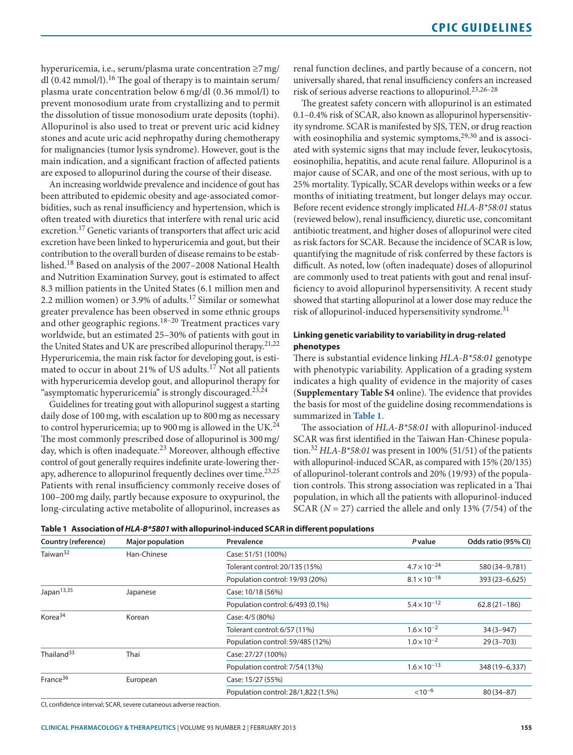<span id="page-2-0"></span>hyperuricemia, i.e., serum/plasma urate concentration ≥7mg/ dl  $(0.42 \text{ mmol/l})$ .<sup>16</sup> The goal of therapy is to maintain serum/ plasma urate concentration below 6 mg/dl (0.36 mmol/l) to prevent monosodium urate from crystallizing and to permit the dissolution of tissue monosodium urate deposits (tophi). Allopurinol is also used to treat or prevent uric acid kidney stones and acute uric acid nephropathy during chemotherapy for malignancies (tumor lysis syndrome). However, gout is the main indication, and a significant fraction of affected patients are exposed to allopurinol during the course of their disease.

An increasing worldwide prevalence and incidence of gout has been attributed to epidemic obesity and age-associated comorbidities, such as renal insufficiency and hypertension, which is often treated with diuretics that interfere with renal uric acid excretion.17 Genetic variants of transporters that affect uric acid excretion have been linked to hyperuricemia and gout, but their contribution to the overall burden of disease remains to be established.18 Based on analysis of the 2007–2008 National Health and Nutrition Examination Survey, gout is estimated to affect 8.3 million patients in the United States (6.1 million men and 2.2 million women) or 3.9% of adults.17 Similar or somewhat greater prevalence has been observed in some ethnic groups and other geographic regions.<sup>18-20</sup> Treatment practices vary worldwide, but an estimated 25–30% of patients with gout in the United States and UK are prescribed allopurinol therapy.<sup>21,22</sup> Hyperuricemia, the main risk factor for developing gout, is estimated to occur in about 21% of US adults.<sup>17</sup> Not all patients with hyperuricemia develop gout, and allopurinol therapy for "asymptomatic hyperuricemia" is strongly discouraged.<sup>23,24</sup>

Guidelines for treating gout with allopurinol suggest a starting daily dose of 100mg, with escalation up to 800mg as necessary to control hyperuricemia; up to 900 mg is allowed in the UK.<sup>24</sup> The most commonly prescribed dose of allopurinol is 300mg/ day, which is often inadequate.<sup>23</sup> Moreover, although effective control of gout generally requires indefinite urate-lowering therapy, adherence to allopurinol frequently declines over time.<sup>23,25</sup> Patients with renal insufficiency commonly receive doses of 100–200mg daily, partly because exposure to oxypurinol, the long-circulating active metabolite of allopurinol, increases as renal function declines, and partly because of a concern, not universally shared, that renal insufficiency confers an increased risk of serious adverse reactions to allopurinol.23,26–28

The greatest safety concern with allopurinol is an estimated 0.1–0.4% risk of SCAR, also known as allopurinol hypersensitivity syndrome. SCAR is manifested by SJS, TEN, or drug reaction with eosinophilia and systemic symptoms,<sup>29,30</sup> and is associated with systemic signs that may include fever, leukocytosis, eosinophilia, hepatitis, and acute renal failure. Allopurinol is a major cause of SCAR, and one of the most serious, with up to 25% mortality. Typically, SCAR develops within weeks or a few months of initiating treatment, but longer delays may occur. Before recent evidence strongly implicated *HLA-B\*58:01* status (reviewed below), renal insufficiency, diuretic use, concomitant antibiotic treatment, and higher doses of allopurinol were cited as risk factors for SCAR. Because the incidence of SCAR is low, quantifying the magnitude of risk conferred by these factors is difficult. As noted, low (often inadequate) doses of allopurinol are commonly used to treat patients with gout and renal insufficiency to avoid allopurinol hypersensitivity. A recent study showed that starting allopurinol at a lower dose may reduce the risk of allopurinol-induced hypersensitivity syndrome.<sup>31</sup>

# **Linking genetic variability to variability in drug-related phenotypes**

There is substantial evidence linking *HLA-B\*58:01* genotype with phenotypic variability. Application of a grading system indicates a high quality of evidence in the majority of cases (**Supplementary Table S4** online). The evidence that provides the basis for most of the guideline dosing recommendations is summarized in **Table 1**.

The association of *HLA-B\*58:01* with allopurinol-induced SCAR was first identified in the Taiwan Han-Chinese population.32 *HLA-B\*58:01* was present in 100% (51/51) of the patients with allopurinol-induced SCAR, as compared with 15% (20/135) of allopurinol-tolerant controls and 20% (19/93) of the population controls. This strong association was replicated in a Thai population, in which all the patients with allopurinol-induced SCAR (*N* = 27) carried the allele and only 13% (7/54) of the

| Country (reference)    | <b>Major population</b> | Prevalence                          | <b>P</b> value        | Odds ratio (95% CI) |
|------------------------|-------------------------|-------------------------------------|-----------------------|---------------------|
| Taiwan <sup>32</sup>   | Han-Chinese             | Case: 51/51 (100%)                  |                       |                     |
|                        |                         | Tolerant control: 20/135 (15%)      | $4.7 \times 10^{-24}$ | 580 (34-9,781)      |
|                        |                         | Population control: 19/93 (20%)     | $8.1 \times 10^{-18}$ | 393 (23 - 6, 625)   |
| Japan <sup>13,35</sup> | Japanese                | Case: 10/18 (56%)                   |                       |                     |
|                        |                         | Population control: 6/493 (0.1%)    | $5.4 \times 10^{-12}$ | $62.8(21-186)$      |
| Korea <sup>34</sup>    | Korean                  | Case: 4/5 (80%)                     |                       |                     |
|                        |                         | Tolerant control: 6/57 (11%)        | $1.6 \times 10^{-2}$  | $34(3 - 947)$       |
|                        |                         | Population control: 59/485 (12%)    | $1.0 \times 10^{-2}$  | $29(3 - 703)$       |
| Thailand <sup>33</sup> | Thai                    | Case: 27/27 (100%)                  |                       |                     |
|                        |                         | Population control: 7/54 (13%)      | $1.6 \times 10^{-13}$ | 348 (19-6,337)      |
| France <sup>36</sup>   | European                | Case: 15/27 (55%)                   |                       |                     |
|                        |                         | Population control: 28/1,822 (1.5%) | $< 10^{-6}$           | $80(34 - 87)$       |

**Table 1 Association of** *HLA-B\*5801* **with allopurinol-induced SCAR in different populations**

CI, confidence interval; SCAR, severe cutaneous adverse reaction.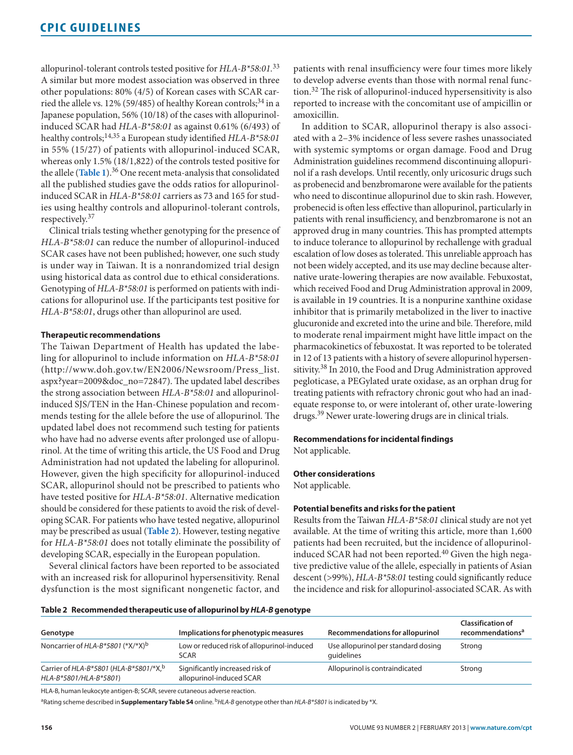<span id="page-3-0"></span>allopurinol-tolerant controls tested positive for *HLA-B\*58:01.*<sup>33</sup> A similar but more modest association was observed in three other populations: 80% (4/5) of Korean cases with SCAR carried the allele vs. 12% (59/485) of healthy Korean controls;<sup>34</sup> in a Japanese population, 56% (10/18) of the cases with allopurinolinduced SCAR had *HLA-B\*58:01* as against 0.61% (6/493) of healthy controls;14,35 a European study identified *HLA-B\*58:01* in 55% (15/27) of patients with allopurinol-induced SCAR, whereas only 1.5% (18/1,822) of the controls tested positive for the allele (**[Table 1](#page-2-0)**).36 One recent meta-analysis that consolidated all the published studies gave the odds ratios for allopurinolinduced SCAR in *HLA-B\*58:01* carriers as 73 and 165 for studies using healthy controls and allopurinol-tolerant controls, respectively.37

Clinical trials testing whether genotyping for the presence of *HLA-B\*58:01* can reduce the number of allopurinol-induced SCAR cases have not been published; however, one such study is under way in Taiwan. It is a nonrandomized trial design using historical data as control due to ethical considerations. Genotyping of *HLA-B\*58:01* is performed on patients with indications for allopurinol use. If the participants test positive for *HLA-B\*58:01*, drugs other than allopurinol are used.

## **Therapeutic recommendations**

The Taiwan Department of Health has updated the labeling for allopurinol to include information on *HLA-B\*58:01* (http://www.doh.gov.tw/EN2006/Newsroom/Press\_list. aspx?year=2009&doc\_no=72847). The updated label describes the strong association between *HLA-B\*58:01* and allopurinolinduced SJS/TEN in the Han-Chinese population and recommends testing for the allele before the use of allopurinol. The updated label does not recommend such testing for patients who have had no adverse events after prolonged use of allopurinol. At the time of writing this article, the US Food and Drug Administration had not updated the labeling for allopurinol. However, given the high specificity for allopurinol-induced SCAR, allopurinol should not be prescribed to patients who have tested positive for *HLA-B\*58:01*. Alternative medication should be considered for these patients to avoid the risk of developing SCAR. For patients who have tested negative, allopurinol may be prescribed as usual (**Table 2**). However, testing negative for *HLA-B\*58:01* does not totally eliminate the possibility of developing SCAR, especially in the European population.

Several clinical factors have been reported to be associated with an increased risk for allopurinol hypersensitivity. Renal dysfunction is the most significant nongenetic factor, and patients with renal insufficiency were four times more likely to develop adverse events than those with normal renal function.32 The risk of allopurinol-induced hypersensitivity is also reported to increase with the concomitant use of ampicillin or amoxicillin.

In addition to SCAR, allopurinol therapy is also associated with a 2–3% incidence of less severe rashes unassociated with systemic symptoms or organ damage. Food and Drug Administration guidelines recommend discontinuing allopurinol if a rash develops. Until recently, only uricosuric drugs such as probenecid and benzbromarone were available for the patients who need to discontinue allopurinol due to skin rash. However, probenecid is often less effective than allopurinol, particularly in patients with renal insufficiency, and benzbromarone is not an approved drug in many countries. This has prompted attempts to induce tolerance to allopurinol by rechallenge with gradual escalation of low doses as tolerated. This unreliable approach has not been widely accepted, and its use may decline because alternative urate-lowering therapies are now available. Febuxostat, which received Food and Drug Administration approval in 2009, is available in 19 countries. It is a nonpurine xanthine oxidase inhibitor that is primarily metabolized in the liver to inactive glucuronide and excreted into the urine and bile. Therefore, mild to moderate renal impairment might have little impact on the pharmacokinetics of febuxostat. It was reported to be tolerated in 12 of 13 patients with a history of severe allopurinol hypersensitivity.<sup>38</sup> In 2010, the Food and Drug Administration approved pegloticase, a PEGylated urate oxidase, as an orphan drug for treating patients with refractory chronic gout who had an inadequate response to, or were intolerant of, other urate-lowering drugs.39 Newer urate-lowering drugs are in clinical trials.

#### **Recommendations for incidental findings**

Not applicable.

### **Other considerations**

Not applicable.

#### **Potential benefits and risks for the patient**

Results from the Taiwan *HLA-B\*58:01* clinical study are not yet available. At the time of writing this article, more than 1,600 patients had been recruited, but the incidence of allopurinolinduced SCAR had not been reported.<sup>40</sup> Given the high negative predictive value of the allele, especially in patients of Asian descent (>99%), *HLA-B\*58:01* testing could significantly reduce the incidence and risk for allopurinol-associated SCAR. As with

#### **Table 2 Recommended therapeutic use of allopurinol by** *HLA-B* **genotype**

| Genotype                                                           | Implications for phenotypic measures                        | Recommendations for allopurinol                   | <b>Classification of</b><br>recommendations <sup>a</sup> |
|--------------------------------------------------------------------|-------------------------------------------------------------|---------------------------------------------------|----------------------------------------------------------|
| Noncarrier of HLA-B*5801 (* $X$ /* $X$ ) <sup>b</sup>              | Low or reduced risk of allopurinol-induced<br><b>SCAR</b>   | Use allopurinol per standard dosing<br>quidelines | Strong                                                   |
| Carrier of HLA-B*5801 (HLA-B*5801/*X, b)<br>HLA-B*5801/HLA-B*5801) | Significantly increased risk of<br>allopurinol-induced SCAR | Allopurinol is contraindicated                    | Strong                                                   |

HLA-B, human leukocyte antigen-B; SCAR, severe cutaneous adverse reaction.

aRating scheme described in **Supplementary Table S4** online. b*HLA-B* genotype other than *HLA-B\*5801* is indicated by \*X.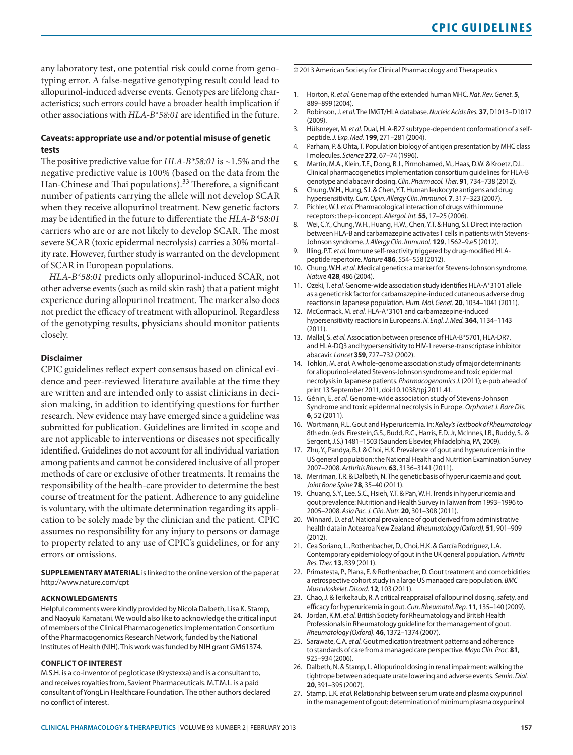any laboratory test, one potential risk could come from genotyping error. A false-negative genotyping result could lead to allopurinol-induced adverse events. Genotypes are lifelong characteristics; such errors could have a broader health implication if other associations with *HLA-B\*58:01* are identified in the future.

# **Caveats: appropriate use and/or potential misuse of genetic tests**

The positive predictive value for *HLA-B\*58:01* is ~1.5% and the negative predictive value is 100% (based on the data from the Han-Chinese and Thai populations).<sup>33</sup> Therefore, a significant number of patients carrying the allele will not develop SCAR when they receive allopurinol treatment. New genetic factors may be identified in the future to differentiate the *HLA-B\*58:01* carriers who are or are not likely to develop SCAR. The most severe SCAR (toxic epidermal necrolysis) carries a 30% mortality rate. However, further study is warranted on the development of SCAR in European populations.

*HLA-B\*58:01* predicts only allopurinol-induced SCAR, not other adverse events (such as mild skin rash) that a patient might experience during allopurinol treatment. The marker also does not predict the efficacy of treatment with allopurinol. Regardless of the genotyping results, physicians should monitor patients closely.

## **Disclaimer**

CPIC guidelines reflect expert consensus based on clinical evidence and peer-reviewed literature available at the time they are written and are intended only to assist clinicians in decision making, in addition to identifying questions for further research. New evidence may have emerged since a guideline was submitted for publication. Guidelines are limited in scope and are not applicable to interventions or diseases not specifically identified. Guidelines do not account for all individual variation among patients and cannot be considered inclusive of all proper methods of care or exclusive of other treatments. It remains the responsibility of the health-care provider to determine the best course of treatment for the patient. Adherence to any guideline is voluntary, with the ultimate determination regarding its application to be solely made by the clinician and the patient. CPIC assumes no responsibility for any injury to persons or damage to property related to any use of CPIC's guidelines, or for any errors or omissions.

**SUPPLEMENTARY MATERIAL** is linked to the online version of the paper at http://www.nature.com/cpt

#### **ACKNOWLEDGMENTS**

Helpful comments were kindly provided by Nicola Dalbeth, Lisa K. Stamp, and Naoyuki Kamatani. We would also like to acknowledge the critical input of members of the Clinical Pharmacogenetics Implementation Consortium of the Pharmacogenomics Research Network, funded by the National Institutes of Health (NIH). This work was funded by NIH grant GM61374.

#### **CONFLICT OF INTEREST**

M.S.H. is a co-inventor of pegloticase (Krystexxa) and is a consultant to, and receives royalties from, Savient Pharmaceuticals. M.T.M.L. is a paid consultant of YongLin Healthcare Foundation. The other authors declared no conflict of interest.

© 2013 American Society for Clinical Pharmacology and Therapeutics

- 1. Horton, R. *et al.* Gene map of the extended human MHC. *Nat. Rev. Genet.* **5**, 889–899 (2004).
- 2. Robinson, J. *et al.* The IMGT/HLA database. *Nucleic Acids Res.* **37**, D1013–D1017  $(2009)$
- 3. Hülsmeyer, M. *et al.* Dual, HLA-B27 subtype-dependent conformation of a selfpeptide. *J. Exp. Med.* **199**, 271–281 (2004).
- 4. Parham, P. & Ohta, T. Population biology of antigen presentation by MHC class I molecules. *Science* **272**, 67–74 (1996).
- 5. Martin, M.A., Klein, T.E., Dong, B.J., Pirmohamed, M., Haas, D.W. & Kroetz, D.L. Clinical pharmacogenetics implementation consortium guidelines for HLA-B genotype and abacavir dosing. *Clin. Pharmacol. Ther.* **91**, 734–738 (2012).
- 6. Chung, W.H., Hung, S.I. & Chen, Y.T. Human leukocyte antigens and drug hypersensitivity. *Curr. Opin. Allergy Clin. Immunol.* **7**, 317–323 (2007).
- 7. Pichler, W.J. *et al.* Pharmacological interaction of drugs with immune receptors: the p-i concept. *Allergol. Int.* **55**, 17–25 (2006).
- 8. Wei, C.Y., Chung, W.H., Huang, H.W., Chen, Y.T. & Hung, S.I. Direct interaction between HLA-B and carbamazepine activates T cells in patients with Stevens-Johnson syndrome. *J. Allergy Clin. Immunol.* **129**, 1562–9.e5 (2012).
- 9. Illing, P.T. *et al.* Immune self-reactivity triggered by drug-modified HLApeptide repertoire. *Nature* **486**, 554–558 (2012).
- 10. Chung, W.H. *et al.* Medical genetics: a marker for Stevens-Johnson syndrome. *Nature* **428**, 486 (2004).
- 11. Ozeki, T. *et al.* Genome-wide association study identifies HLA-A\*3101 allele as a genetic risk factor for carbamazepine-induced cutaneous adverse drug reactions in Japanese population. *Hum. Mol. Genet.* **20**, 1034–1041 (2011).
- 12. McCormack, M. *et al.* HLA-A\*3101 and carbamazepine-induced hypersensitivity reactions in Europeans. *N. Engl. J. Med.* **364**, 1134–1143 (2011).
- 13. Mallal, S. *et al.* Association between presence of HLA-B\*5701, HLA-DR7, and HLA-DQ3 and hypersensitivity to HIV-1 reverse-transcriptase inhibitor abacavir. *Lancet* **359**, 727–732 (2002).
- 14. Tohkin, M. *et al.* A whole-genome association study of major determinants for allopurinol-related Stevens-Johnson syndrome and toxic epidermal necrolysis in Japanese patients. *Pharmacogenomics J.* (2011); e-pub ahead of print 13 September 2011, doi:10.1038/tpj.2011.41.
- 15. Génin, E. *et al.* Genome-wide association study of Stevens-Johnson Syndrome and toxic epidermal necrolysis in Europe. *Orphanet J. Rare Dis.* **6**, 52 (2011).
- 16. Wortmann, R.L. Gout and Hyperuricemia. In: *Kelley's Textbook of Rheumatology* 8th edn. (eds. Firestein,G.S., Budd, R.C., Harris, E.D. Jr, McInnes, I.B., Ruddy, S.. & Sergent, J.S.) 1481–1503 (Saunders Elsevier, Philadelphia, PA, 2009).
- 17. Zhu, Y., Pandya, B.J. & Choi, H.K. Prevalence of gout and hyperuricemia in the US general population: the National Health and Nutrition Examination Survey 2007–2008. *Arthritis Rheum.* **63**, 3136–3141 (2011).
- 18. Merriman, T.R. & Dalbeth, N. The genetic basis of hyperuricaemia and gout. *Joint Bone Spine* **78**, 35–40 (2011).
- 19. Chuang, S.Y., Lee, S.C., Hsieh, Y.T. & Pan, W.H. Trends in hyperuricemia and gout prevalence: Nutrition and Health Survey in Taiwan from 1993–1996 to 2005–2008. *Asia Pac. J. Clin. Nutr.* **20**, 301–308 (2011).
- 20. Winnard, D. *et al.* National prevalence of gout derived from administrative health data in Aotearoa New Zealand. *Rheumatology (Oxford).* **51**, 901–909 (2012).
- 21. Cea Soriano, L., Rothenbacher, D., Choi, H.K. & García Rodríguez, L.A. Contemporary epidemiology of gout in the UK general population. *Arthritis Res. Ther.* **13**, R39 (2011).
- 22. Primatesta, P., Plana, E. & Rothenbacher, D. Gout treatment and comorbidities: a retrospective cohort study in a large US managed care population. *BMC Musculoskelet. Disord.* **12**, 103 (2011).
- 23. Chao, J. & Terkeltaub, R. A critical reappraisal of allopurinol dosing, safety, and efficacy for hyperuricemia in gout. *Curr. Rheumatol. Rep.* **11**, 135–140 (2009).
- 24. Jordan, K.M. *et al.* British Society for Rheumatology and British Health Professionals in Rheumatology guideline for the management of gout. *Rheumatology (Oxford).* **46**, 1372–1374 (2007).
- 25. Sarawate, C.A. *et al.* Gout medication treatment patterns and adherence to standards of care from a managed care perspective. *Mayo Clin. Proc.* **81**, 925–934 (2006).
- 26. Dalbeth, N. & Stamp, L. Allopurinol dosing in renal impairment: walking the tightrope between adequate urate lowering and adverse events. *Semin. Dial.* **20**, 391–395 (2007).
- 27. Stamp, L.K. *et al.* Relationship between serum urate and plasma oxypurinol in the management of gout: determination of minimum plasma oxypurinol